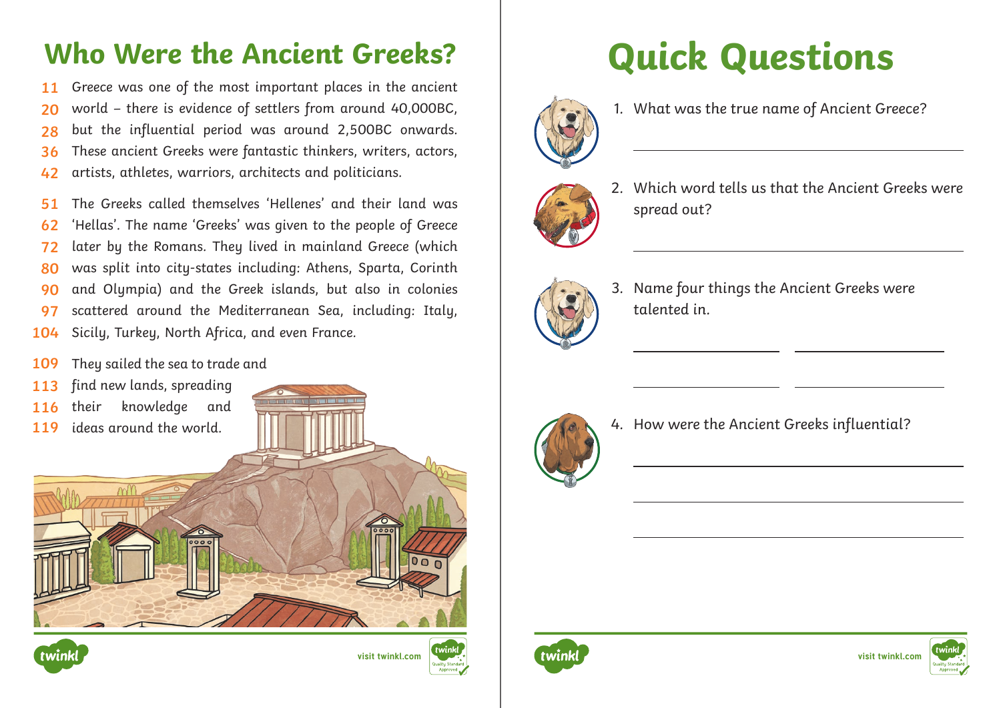## Who Were the Ancient Greeks? **Quick Questions**

Greece was one of the most important places in the ancient world – there is evidence of settlers from around 40,000BC, but the influential period was around 2,500BC onwards. These ancient Greeks were fantastic thinkers, writers, actors, artists, athletes, warriors, architects and politicians. **11 20 28 36 42**

The Greeks called themselves 'Hellenes' and their land was 'Hellas'. The name 'Greeks' was given to the people of Greece later by the Romans. They lived in mainland Greece (which was split into city-states including: Athens, Sparta, Corinth and Olympia) and the Greek islands, but also in colonies scattered around the Mediterranean Sea, including: Italy, Sicily, Turkey, North Africa, and even France. **51 62 72 80 90 97 104**

- They sailed the sea to trade and **109**
- find new lands, spreading **113**
- their knowledge and **116**
- 









1. What was the true name of Ancient Greece?



2. Which word tells us that the Ancient Greeks were spread out?



 $\overline{a}$ 

 $\overline{a}$ 

3. Name four things the Ancient Greeks were talented in.



4. How were the Ancient Greeks influential?